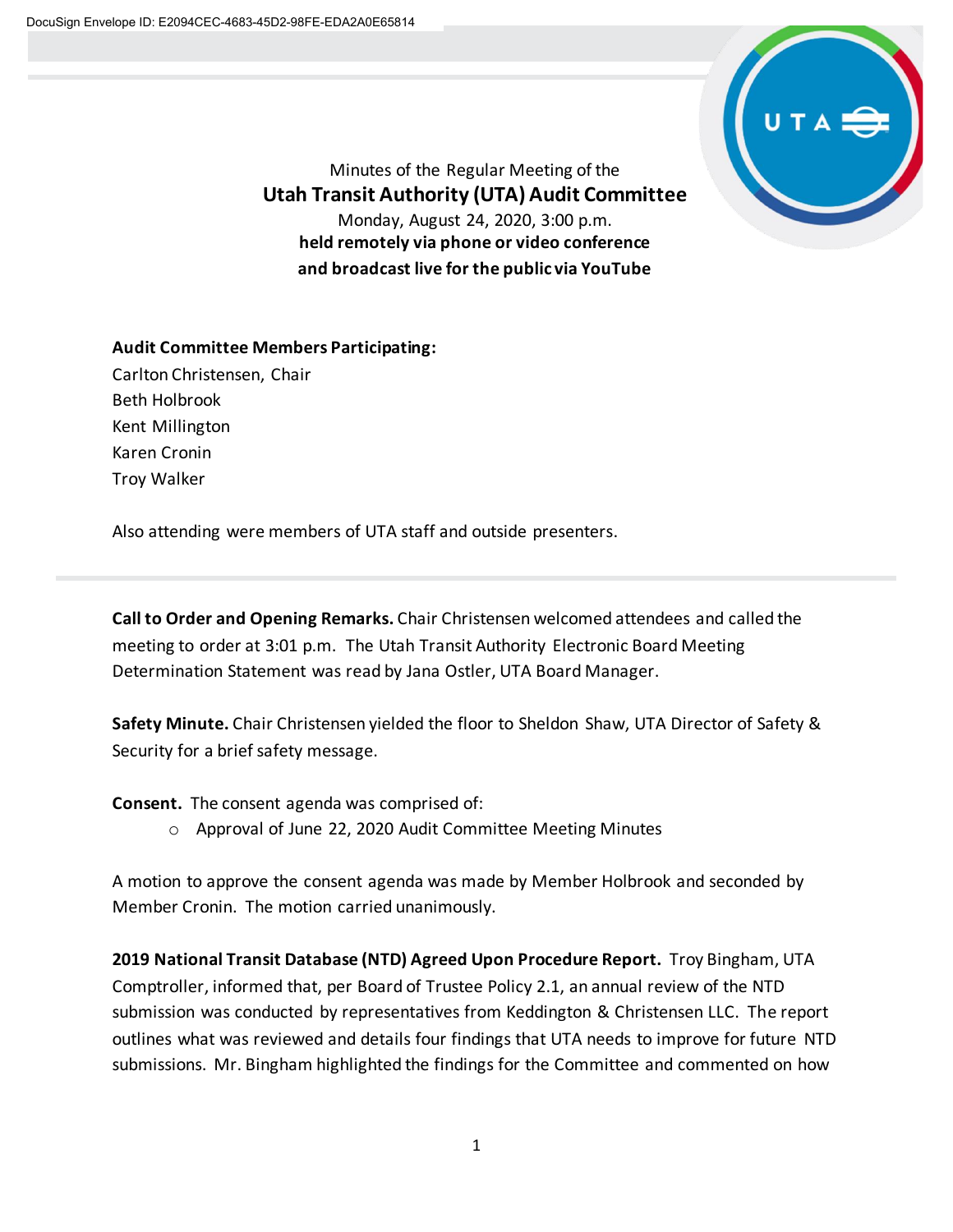

Minutes of the Regular Meeting of the **Utah Transit Authority (UTA) Audit Committee** Monday, August 24, 2020, 3:00 p.m. **held remotely via phone or video conference and broadcast live for the public via YouTube**

**Audit Committee Members Participating:** Carlton Christensen, Chair Beth Holbrook Kent Millington Karen Cronin

Troy Walker

Also attending were members of UTA staff and outside presenters.

**Call to Order and Opening Remarks.** Chair Christensen welcomed attendees and called the meeting to order at 3:01 p.m. The Utah Transit Authority Electronic Board Meeting Determination Statement was read by Jana Ostler, UTA Board Manager.

**Safety Minute.** Chair Christensen yielded the floor to Sheldon Shaw, UTA Director of Safety & Security for a brief safety message.

**Consent.** The consent agenda was comprised of:

o Approval of June 22, 2020 Audit Committee Meeting Minutes

A motion to approve the consent agenda was made by Member Holbrook and seconded by Member Cronin. The motion carried unanimously.

**2019 National Transit Database (NTD) Agreed Upon Procedure Report.** Troy Bingham, UTA Comptroller, informed that, per Board of Trustee Policy 2.1, an annual review of the NTD submission was conducted by representatives from Keddington & Christensen LLC. The report outlines what was reviewed and details four findings that UTA needs to improve for future NTD submissions. Mr. Bingham highlighted the findings for the Committee and commented on how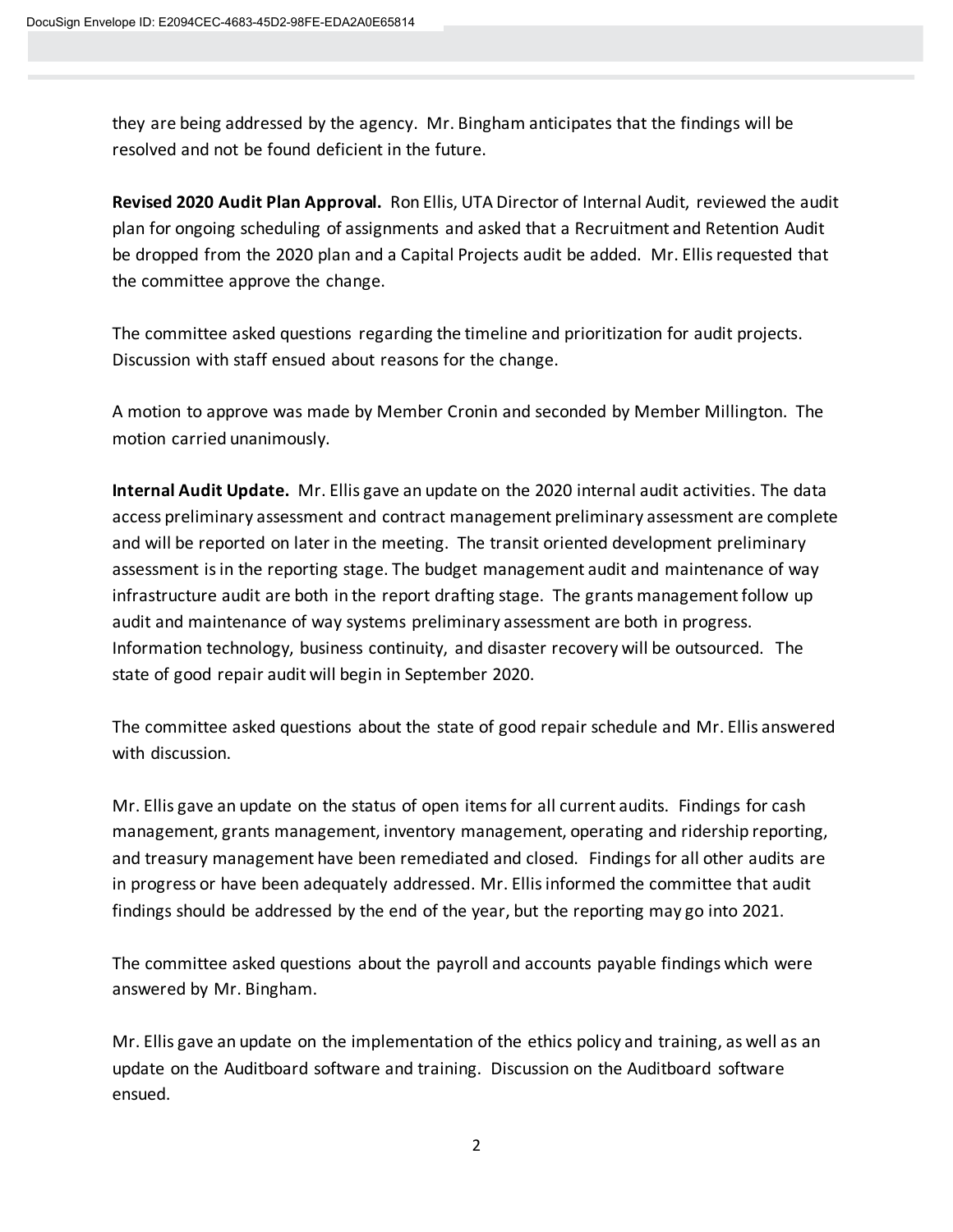they are being addressed by the agency. Mr. Bingham anticipates that the findings will be resolved and not be found deficient in the future.

**Revised 2020 Audit Plan Approval.** Ron Ellis, UTA Director of Internal Audit, reviewed the audit plan for ongoing scheduling of assignments and asked that a Recruitment and Retention Audit be dropped from the 2020 plan and a Capital Projects audit be added. Mr. Ellisrequested that the committee approve the change.

The committee asked questions regarding the timeline and prioritization for audit projects. Discussion with staff ensued about reasons for the change.

A motion to approve was made by Member Cronin and seconded by Member Millington. The motion carried unanimously.

**Internal Audit Update.** Mr. Ellis gave an update on the 2020 internal audit activities. The data access preliminary assessment and contract management preliminary assessment are complete and will be reported on later in the meeting. The transit oriented development preliminary assessment is in the reporting stage. The budget management audit and maintenance of way infrastructure audit are both in the report drafting stage. The grants management follow up audit and maintenance of way systems preliminary assessment are both in progress. Information technology, business continuity, and disaster recovery will be outsourced. The state of good repair audit will begin in September 2020.

The committee asked questions about the state of good repair schedule and Mr. Ellis answered with discussion.

Mr. Ellis gave an update on the status of open itemsfor all current audits. Findings for cash management, grants management, inventory management, operating and ridership reporting, and treasury management have been remediated and closed. Findings for all other audits are in progress or have been adequately addressed. Mr. Ellis informed the committee that audit findings should be addressed by the end of the year, but the reporting may go into 2021.

The committee asked questions about the payroll and accounts payable findings which were answered by Mr. Bingham.

Mr. Ellis gave an update on the implementation of the ethics policy and training, as well as an update on the Auditboard software and training. Discussion on the Auditboard software ensued.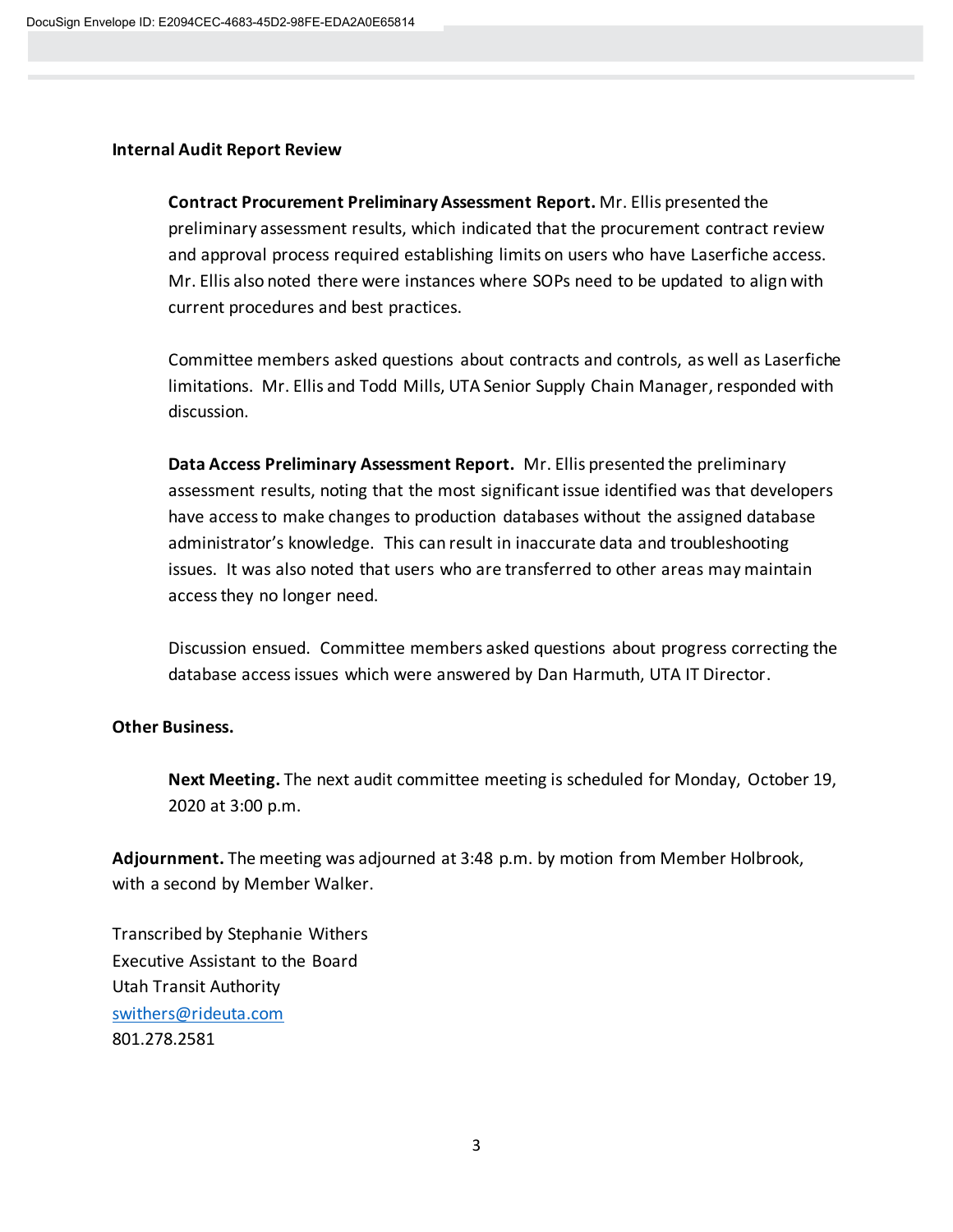## **Internal Audit Report Review**

**Contract Procurement Preliminary Assessment Report.** Mr. Ellis presented the preliminary assessment results, which indicated that the procurement contract review and approval process required establishing limits on users who have Laserfiche access. Mr. Ellis also noted there were instances where SOPs need to be updated to align with current procedures and best practices.

Committee members asked questions about contracts and controls, as well as Laserfiche limitations. Mr. Ellis and Todd Mills, UTA Senior Supply Chain Manager, responded with discussion.

**Data Access Preliminary Assessment Report.** Mr. Ellis presented the preliminary assessment results, noting that the most significant issue identified was that developers have access to make changes to production databases without the assigned database administrator's knowledge. This can result in inaccurate data and troubleshooting issues. It was also noted that users who are transferred to other areas may maintain access they no longer need.

Discussion ensued. Committee members asked questions about progress correcting the database access issues which were answered by Dan Harmuth, UTA IT Director.

## **Other Business.**

**Next Meeting.** The next audit committee meeting is scheduled for Monday, October 19, 2020 at 3:00 p.m.

**Adjournment.** The meeting was adjourned at 3:48 p.m. by motion from Member Holbrook, with a second by Member Walker.

Transcribed by Stephanie Withers Executive Assistant to the Board Utah Transit Authority [swithers@rideuta.com](mailto:swithers@rideuta.com) 801.278.2581